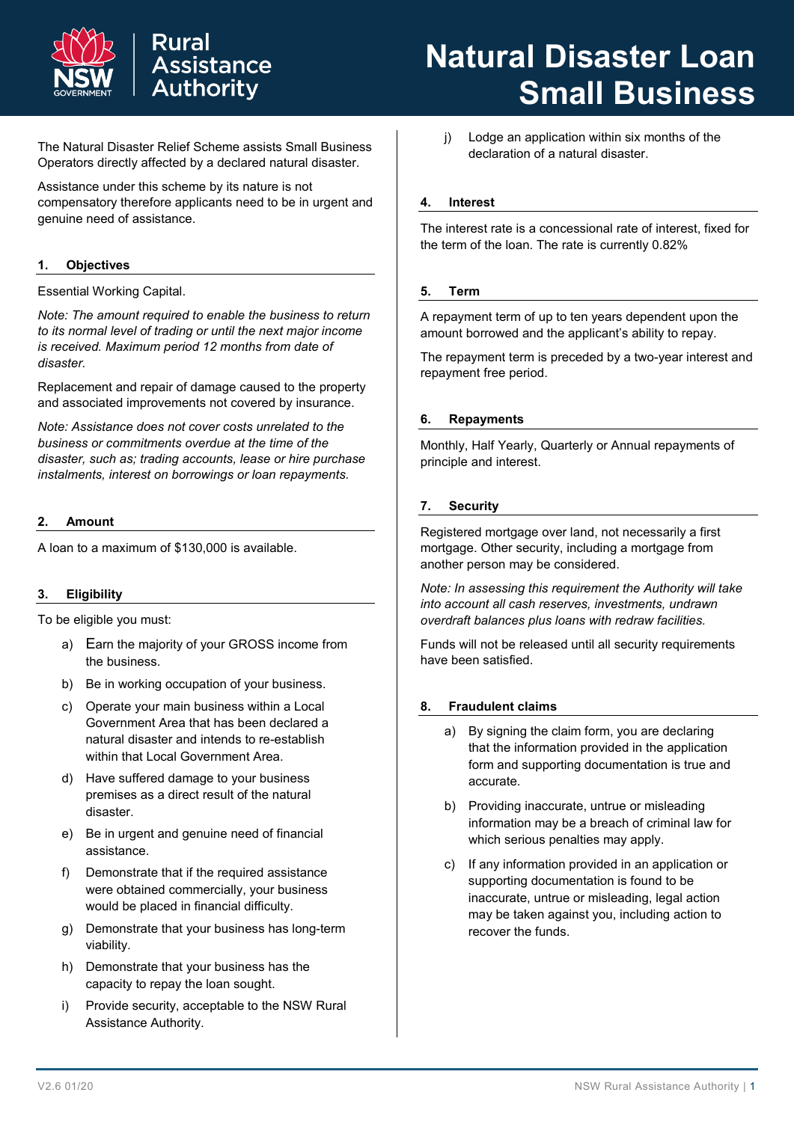



The Natural Disaster Relief Scheme assists Small Business Operators directly affected by a declared natural disaster.

**Assistance Authority** 

Rural

Assistance under this scheme by its nature is not compensatory therefore applicants need to be in urgent and genuine need of assistance.

# **1. Objectives**

#### Essential Working Capital.

*Note: The amount required to enable the business to return to its normal level of trading or until the next major income is received. Maximum period 12 months from date of disaster.*

Replacement and repair of damage caused to the property and associated improvements not covered by insurance.

*Note: Assistance does not cover costs unrelated to the business or commitments overdue at the time of the disaster, such as; trading accounts, lease or hire purchase instalments, interest on borrowings or loan repayments.*

#### **2. Amount**

A loan to a maximum of \$130,000 is available.

#### **3. Eligibility**

To be eligible you must:

- a) Earn the majority of your GROSS income from the business.
- b) Be in working occupation of your business.
- c) Operate your main business within a Local Government Area that has been declared a natural disaster and intends to re-establish within that Local Government Area.
- d) Have suffered damage to your business premises as a direct result of the natural disaster.
- e) Be in urgent and genuine need of financial assistance.
- f) Demonstrate that if the required assistance were obtained commercially, your business would be placed in financial difficulty.
- g) Demonstrate that your business has long-term viability.
- h) Demonstrate that your business has the capacity to repay the loan sought.
- i) Provide security, acceptable to the NSW Rural Assistance Authority.

j) Lodge an application within six months of the declaration of a natural disaster.

#### **4. Interest**

The interest rate is a concessional rate of interest, fixed for the term of the loan. The rate is currently 0.82%

#### **5. Term**

A repayment term of up to ten years dependent upon the amount borrowed and the applicant's ability to repay.

The repayment term is preceded by a two-year interest and repayment free period.

#### **6. Repayments**

Monthly, Half Yearly, Quarterly or Annual repayments of principle and interest.

#### **7. Security**

Registered mortgage over land, not necessarily a first mortgage. Other security, including a mortgage from another person may be considered.

*Note: In assessing this requirement the Authority will take into account all cash reserves, investments, undrawn overdraft balances plus loans with redraw facilities.*

Funds will not be released until all security requirements have been satisfied.

#### **8. Fraudulent claims**

- a) By signing the claim form, you are declaring that the information provided in the application form and supporting documentation is true and accurate.
- b) Providing inaccurate, untrue or misleading information may be a breach of criminal law for which serious penalties may apply.
- c) If any information provided in an application or supporting documentation is found to be inaccurate, untrue or misleading, legal action may be taken against you, including action to recover the funds.